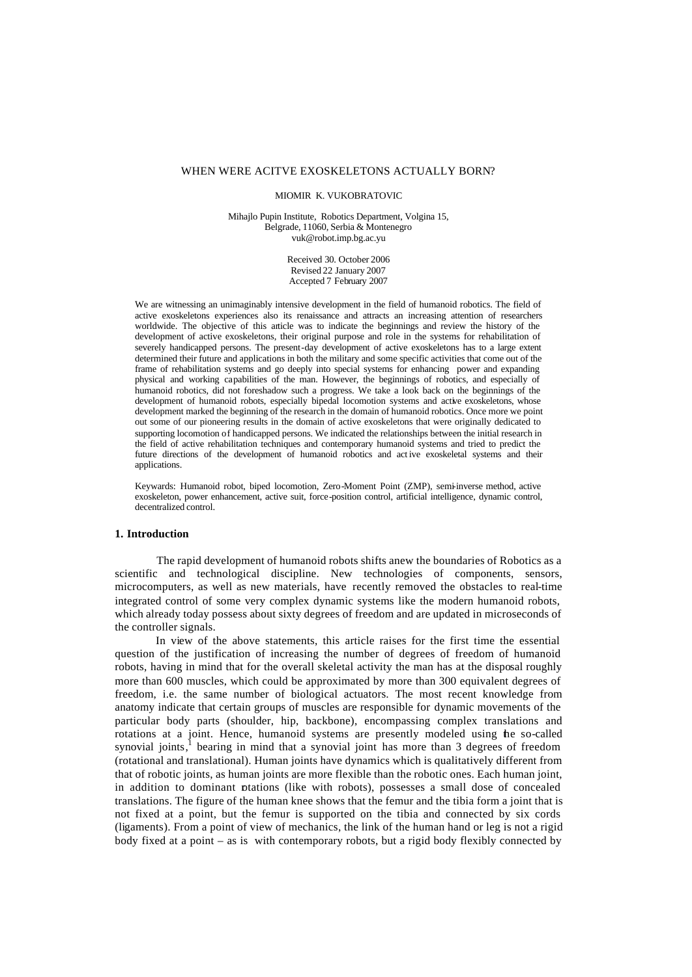### WHEN WERE ACITVE EXOSKELETONS ACTUALLY BORN?

#### MIOMIR K. VUKOBRATOVIC

Mihajlo Pupin Institute, Robotics Department, Volgina 15, Belgrade, 11060, Serbia & Montenegro vuk@robot.imp.bg.ac.yu

> Received 30. October 2006 Revised 22 January 2007 Accepted 7 February 2007

We are witnessing an unimaginably intensive development in the field of humanoid robotics. The field of active exoskeletons experiences also its renaissance and attracts an increasing attention of researchers worldwide. The objective of this article was to indicate the beginnings and review the history of the development of active exoskeletons, their original purpose and role in the systems for rehabilitation of severely handicapped persons. The present-day development of active exoskeletons has to a large extent determined their future and applications in both the military and some specific activities that come out of the frame of rehabilitation systems and go deeply into special systems for enhancing power and expanding physical and working capabilities of the man. However, the beginnings of robotics, and especially of humanoid robotics, did not foreshadow such a progress. We take a look back on the beginnings of the development of humanoid robots, especially bipedal locomotion systems and active exoskeletons, whose development marked the beginning of the research in the domain of humanoid robotics. Once more we point out some of our pioneering results in the domain of active exoskeletons that were originally dedicated to supporting locomotion of handicapped persons. We indicated the relationships between the initial research in the field of active rehabilitation techniques and contemporary humanoid systems and tried to predict the future directions of the development of humanoid robotics and act ive exoskeletal systems and their applications.

Keywards: Humanoid robot, biped locomotion, Zero-Moment Point (ZMP), semi-inverse method, active exoskeleton, power enhancement, active suit, force-position control, artificial intelligence, dynamic control, decentralized control.

#### **1. Introduction**

The rapid development of humanoid robots shifts anew the boundaries of Robotics as a scientific and technological discipline. New technologies of components, sensors, microcomputers, as well as new materials, have recently removed the obstacles to real-time integrated control of some very complex dynamic systems like the modern humanoid robots, which already today possess about sixty degrees of freedom and are updated in microseconds of the controller signals.

In view of the above statements, this article raises for the first time the essential question of the justification of increasing the number of degrees of freedom of humanoid robots, having in mind that for the overall skeletal activity the man has at the disposal roughly more than 600 muscles, which could be approximated by more than 300 equivalent degrees of freedom, i.e. the same number of biological actuators. The most recent knowledge from anatomy indicate that certain groups of muscles are responsible for dynamic movements of the particular body parts (shoulder, hip, backbone), encompassing complex translations and rotations at a joint. Hence, humanoid systems are presently modeled using the so-called synovial joints,<sup>1</sup> bearing in mind that a synovial joint has more than 3 degrees of freedom (rotational and translational). Human joints have dynamics which is qualitatively different from that of robotic joints, as human joints are more flexible than the robotic ones. Each human joint, in addition to dominant ptations (like with robots), possesses a small dose of concealed translations. The figure of the human knee shows that the femur and the tibia form a joint that is not fixed at a point, but the femur is supported on the tibia and connected by six cords (ligaments). From a point of view of mechanics, the link of the human hand or leg is not a rigid body fixed at a point – as is with contemporary robots, but a rigid body flexibly connected by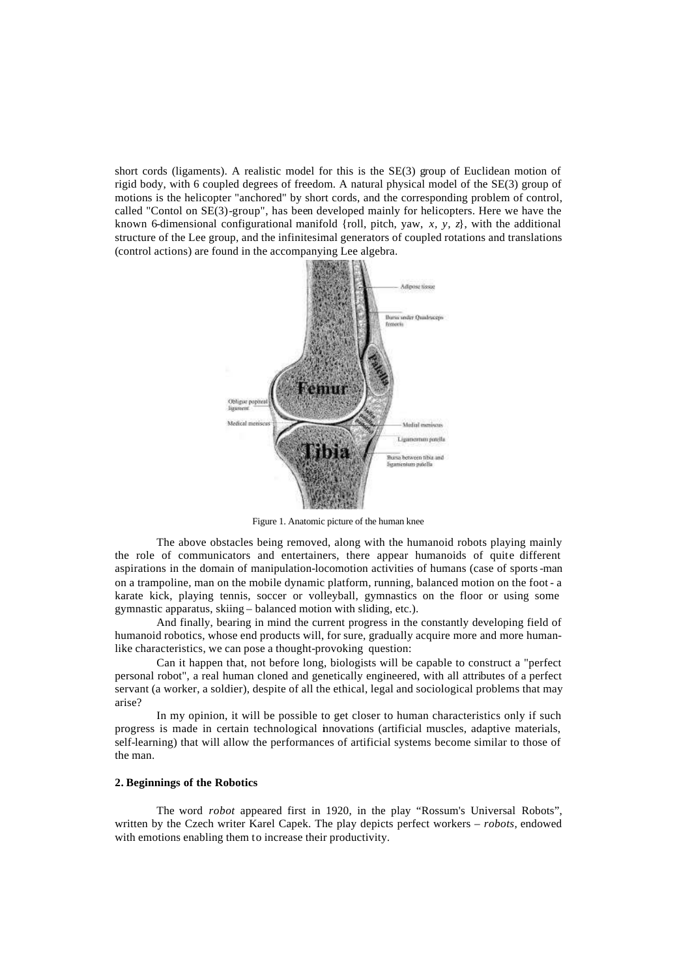short cords (ligaments). A realistic model for this is the SE(3) group of Euclidean motion of rigid body, with 6 coupled degrees of freedom. A natural physical model of the SE(3) group of motions is the helicopter "anchored" by short cords, and the corresponding problem of control, called "Contol on SE(3)-group", has been developed mainly for helicopters. Here we have the known 6-dimensional configurational manifold {roll, pitch, yaw, *x*, *y*, *z*}, with the additional structure of the Lee group, and the infinitesimal generators of coupled rotations and translations (control actions) are found in the accompanying Lee algebra.



Figure 1. Anatomic picture of the human knee

The above obstacles being removed, along with the humanoid robots playing mainly the role of communicators and entertainers, there appear humanoids of quite different aspirations in the domain of manipulation-locomotion activities of humans (case of sports-man on a trampoline, man on the mobile dynamic platform, running, balanced motion on the foot - a karate kick, playing tennis, soccer or volleyball, gymnastics on the floor or using some gymnastic apparatus, skiing – balanced motion with sliding, etc.).

And finally, bearing in mind the current progress in the constantly developing field of humanoid robotics, whose end products will, for sure, gradually acquire more and more humanlike characteristics, we can pose a thought-provoking question:

Can it happen that, not before long, biologists will be capable to construct a "perfect personal robot", a real human cloned and genetically engineered, with all attributes of a perfect servant (a worker, a soldier), despite of all the ethical, legal and sociological problems that may arise?

In my opinion, it will be possible to get closer to human characteristics only if such progress is made in certain technological innovations (artificial muscles, adaptive materials, self-learning) that will allow the performances of artificial systems become similar to those of the man.

# **2. Beginnings of the Robotics**

The word *robot* appeared first in 1920, in the play "Rossum's Universal Robots", written by the Czech writer Karel Capek. The play depicts perfect workers – *robots*, endowed with emotions enabling them to increase their productivity.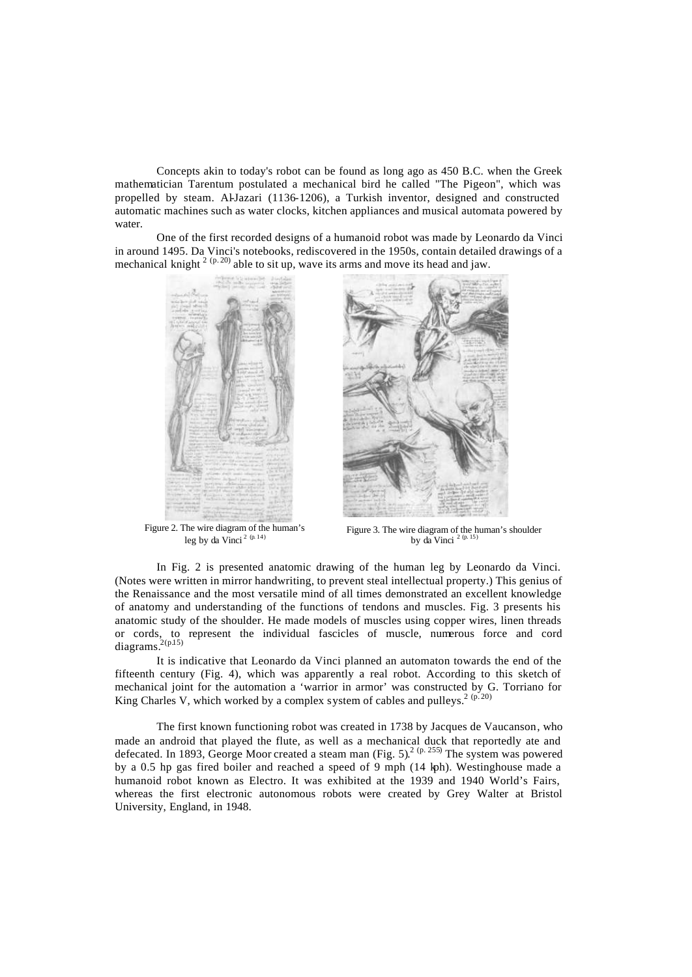Concepts akin to today's robot can be found as long ago as 450 B.C. when the Greek mathematician Tarentum postulated a mechanical bird he called "The Pigeon", which was propelled by steam. Al-Jazari (1136-1206), a Turkish inventor, designed and constructed automatic machines such as water clocks, kitchen appliances and musical automata powered by water.

One of the first recorded designs of a humanoid robot was made by Leonardo da Vinci in around 1495. Da Vinci's notebooks, rediscovered in the 1950s, contain detailed drawings of a mechanical knight  $2^{(p.20)}$  able to sit up, wave its arms and move its head and jaw.



Figure 2. The wire diagram of the human's leg by da Vinci<sup>2 (p. 14)</sup>



Figure 3. The wire diagram of the human's shoulder by da Vinci <sup>2 (p.</sup>

In Fig. 2 is presented anatomic drawing of the human leg by Leonardo da Vinci. (Notes were written in mirror handwriting, to prevent steal intellectual property.) This genius of the Renaissance and the most versatile mind of all times demonstrated an excellent knowledge of anatomy and understanding of the functions of tendons and muscles. Fig. 3 presents his anatomic study of the shoulder. He made models of muscles using copper wires, linen threads or cords, to represent the individual fascicles of muscle, numerous force and cord diagrams. $^{2(p,15)}$ 

It is indicative that Leonardo da Vinci planned an automaton towards the end of the fifteenth century (Fig. 4), which was apparently a real robot. According to this sketch of mechanical joint for the automation a 'warrior in armor' was constructed by G. Torriano for King Charles V, which worked by a complex system of cables and pulleys.<sup>2</sup>  $(p.20)$ 

The first known functioning robot was created in 1738 by Jacques de Vaucanson, who made an android that played the flute, as well as a mechanical duck that reportedly ate and defecated. In 1893, George Moor created a steam man (Fig. 5).<sup>2 (p. 255)</sup> The system was powered by a 0.5 hp gas fired boiler and reached a speed of 9 mph (14 kph). Westinghouse made a humanoid robot known as Electro. It was exhibited at the 1939 and 1940 World's Fairs, whereas the first electronic autonomous robots were created by Grey Walter at Bristol University, England, in 1948.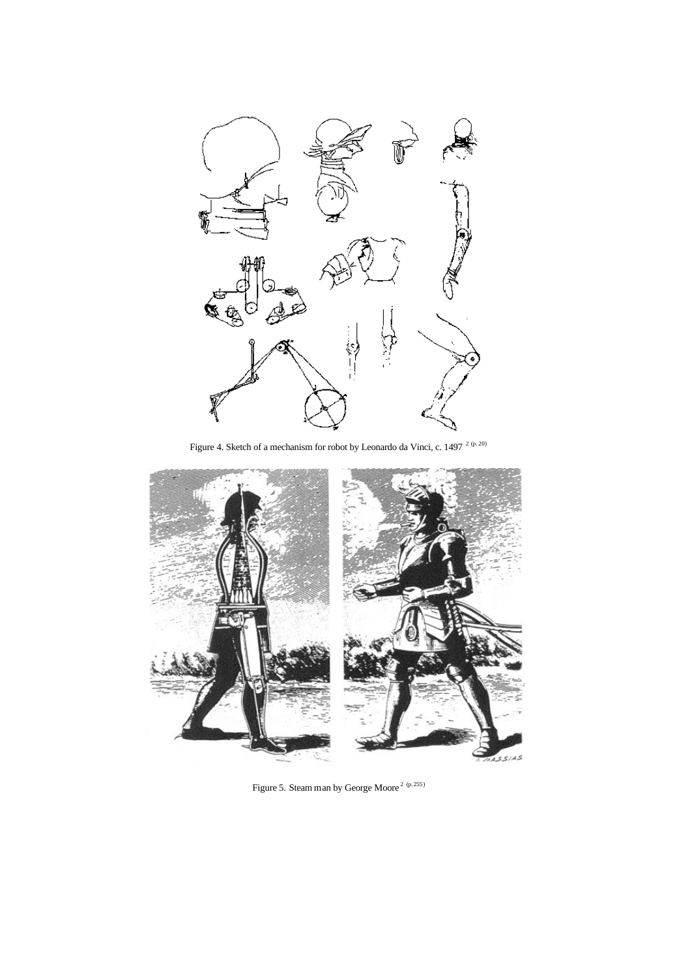

Figure 4. Sketch of a mechanism for robot by Leonardo da Vinci, c. 1497 $^{\rm 2~(p.20)}$ 



Figure 5. Steam man by George Moore<sup>2 (p.255)</sup>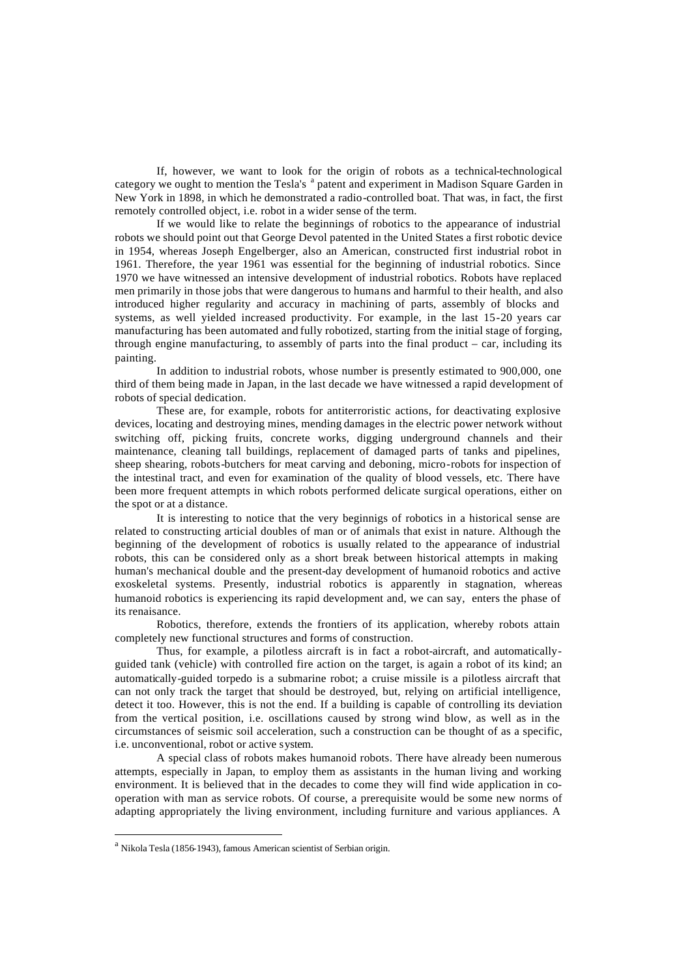If, however, we want to look for the origin of robots as a technical-technological category we ought to mention the Tesla's <sup>a</sup> patent and experiment in Madison Square Garden in New York in 1898, in which he demonstrated a radio-controlled boat. That was, in fact, the first remotely controlled object, i.e. robot in a wider sense of the term.

If we would like to relate the beginnings of robotics to the appearance of industrial robots we should point out that George Devol patented in the United States a first robotic device in 1954, whereas Joseph Engelberger, also an American, constructed first industrial robot in 1961. Therefore, the year 1961 was essential for the beginning of industrial robotics. Since 1970 we have witnessed an intensive development of industrial robotics. Robots have replaced men primarily in those jobs that were dangerous to humans and harmful to their health, and also introduced higher regularity and accuracy in machining of parts, assembly of blocks and systems, as well yielded increased productivity. For example, in the last 15-20 years car manufacturing has been automated and fully robotized, starting from the initial stage of forging, through engine manufacturing, to assembly of parts into the final product  $-$  car, including its painting.

In addition to industrial robots, whose number is presently estimated to 900,000, one third of them being made in Japan, in the last decade we have witnessed a rapid development of robots of special dedication.

These are, for example, robots for antiterroristic actions, for deactivating explosive devices, locating and destroying mines, mending damages in the electric power network without switching off, picking fruits, concrete works, digging underground channels and their maintenance, cleaning tall buildings, replacement of damaged parts of tanks and pipelines, sheep shearing, robots-butchers for meat carving and deboning, micro-robots for inspection of the intestinal tract, and even for examination of the quality of blood vessels, etc. There have been more frequent attempts in which robots performed delicate surgical operations, either on the spot or at a distance.

It is interesting to notice that the very beginnigs of robotics in a historical sense are related to constructing articial doubles of man or of animals that exist in nature. Although the beginning of the development of robotics is usually related to the appearance of industrial robots, this can be considered only as a short break between historical attempts in making human's mechanical double and the present-day development of humanoid robotics and active exoskeletal systems. Presently, industrial robotics is apparently in stagnation, whereas humanoid robotics is experiencing its rapid development and, we can say, enters the phase of its renaisance.

Robotics, therefore, extends the frontiers of its application, whereby robots attain completely new functional structures and forms of construction.

Thus, for example, a pilotless aircraft is in fact a robot-aircraft, and automaticallyguided tank (vehicle) with controlled fire action on the target, is again a robot of its kind; an automatically-guided torpedo is a submarine robot; a cruise missile is a pilotless aircraft that can not only track the target that should be destroyed, but, relying on artificial intelligence, detect it too. However, this is not the end. If a building is capable of controlling its deviation from the vertical position, i.e. oscillations caused by strong wind blow, as well as in the circumstances of seismic soil acceleration, such a construction can be thought of as a specific, i.e. unconventional, robot or active system.

A special class of robots makes humanoid robots. There have already been numerous attempts, especially in Japan, to employ them as assistants in the human living and working environment. It is believed that in the decades to come they will find wide application in cooperation with man as service robots. Of course, a prerequisite would be some new norms of adapting appropriately the living environment, including furniture and various appliances. A

l

<sup>&</sup>lt;sup>a</sup> Nikola Tesla (1856-1943), famous American scientist of Serbian origin.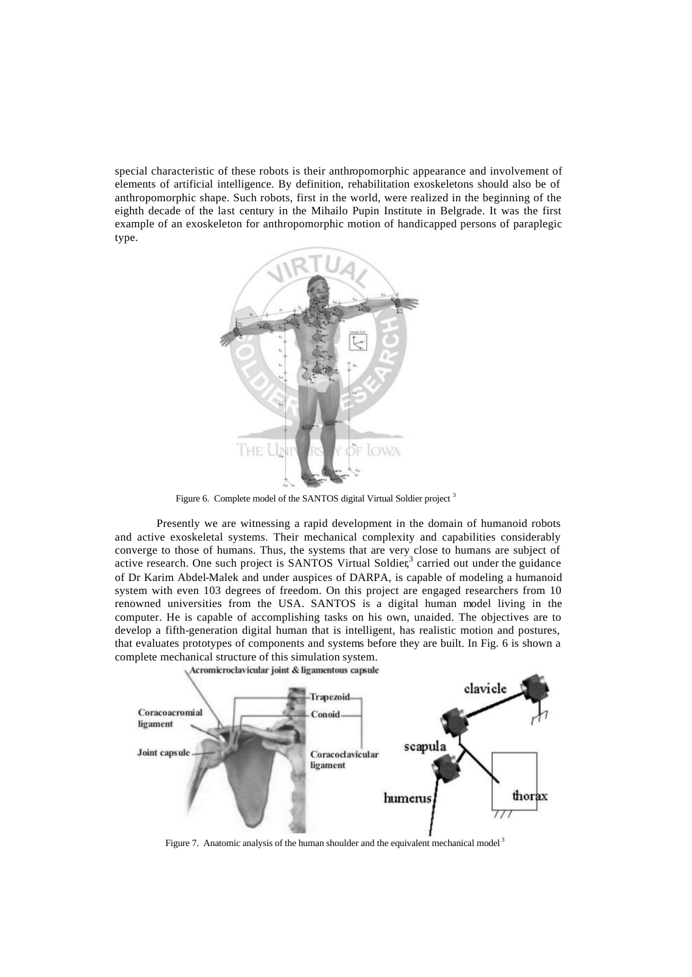special characteristic of these robots is their anthropomorphic appearance and involvement of elements of artificial intelligence. By definition, rehabilitation exoskeletons should also be of anthropomorphic shape. Such robots, first in the world, were realized in the beginning of the eighth decade of the last century in the Mihailo Pupin Institute in Belgrade. It was the first example of an exoskeleton for anthropomorphic motion of handicapped persons of paraplegic type.



Figure 6. Complete model of the SANTOS digital Virtual Soldier project<sup>3</sup>

Presently we are witnessing a rapid development in the domain of humanoid robots and active exoskeletal systems. Their mechanical complexity and capabilities considerably converge to those of humans. Thus, the systems that are very close to humans are subject of active research. One such project is SANTOS Virtual Soldier,<sup>3</sup> carried out under the guidance of Dr Karim Abdel-Malek and under auspices of DARPA, is capable of modeling a humanoid system with even 103 degrees of freedom. On this project are engaged researchers from 10 renowned universities from the USA. SANTOS is a digital human model living in the computer. He is capable of accomplishing tasks on his own, unaided. The objectives are to develop a fifth-generation digital human that is intelligent, has realistic motion and postures, that evaluates prototypes of components and systems before they are built. In Fig. 6 is shown a complete mechanical structure of this simulation system.



Figure 7. Anatomic analysis of the human shoulder and the equivalent mechanical model<sup>3</sup>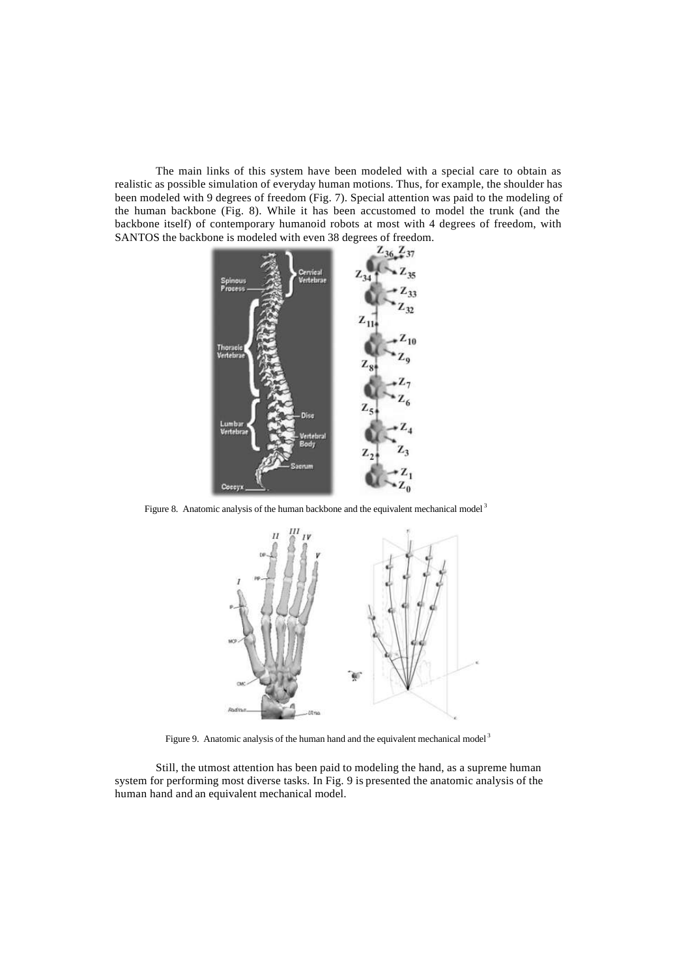The main links of this system have been modeled with a special care to obtain as realistic as possible simulation of everyday human motions. Thus, for example, the shoulder has been modeled with 9 degrees of freedom (Fig. 7). Special attention was paid to the modeling of the human backbone (Fig. 8). While it has been accustomed to model the trunk (and the backbone itself) of contemporary humanoid robots at most with 4 degrees of freedom, with SANTOS the backbone is modeled with even 38 degrees of freedom.



Figure 8. Anatomic analysis of the human backbone and the equivalent mechanical model<sup>3</sup>



Figure 9. Anatomic analysis of the human hand and the equivalent mechanical model<sup>3</sup>

Still, the utmost attention has been paid to modeling the hand, as a supreme human system for performing most diverse tasks. In Fig. 9 is presented the anatomic analysis of the human hand and an equivalent mechanical model.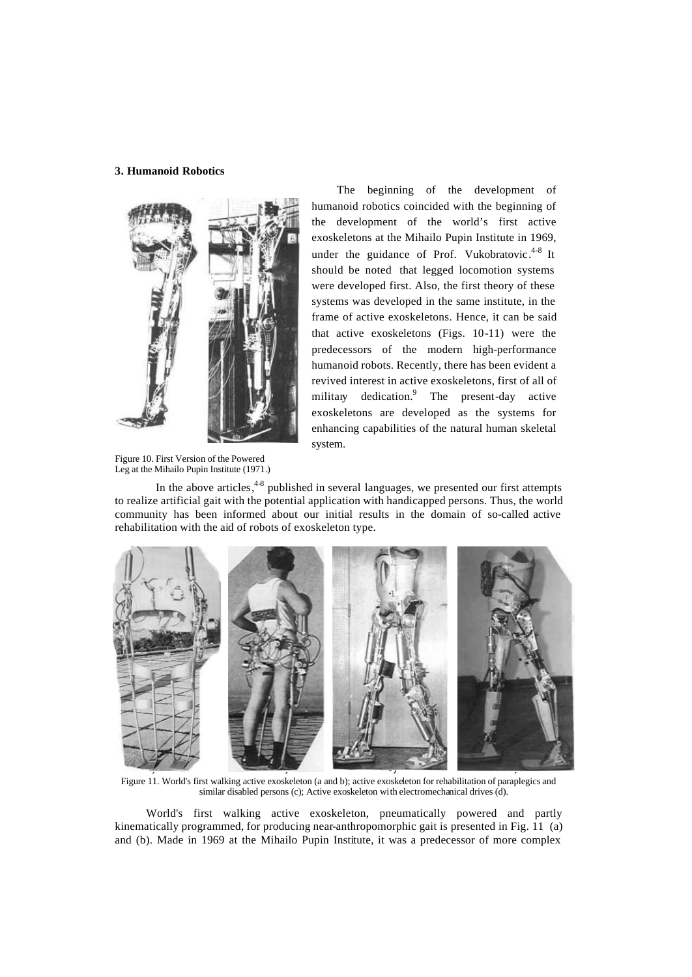### **3. Humanoid Robotics**



 The beginning of the development of humanoid robotics coincided with the beginning of the development of the world's first active exoskeletons at the Mihailo Pupin Institute in 1969, under the guidance of Prof. Vukobratovic.<sup>4-8</sup> It should be noted that legged locomotion systems were developed first. Also, the first theory of these systems was developed in the same institute, in the frame of active exoskeletons. Hence, it can be said that active exoskeletons (Figs. 10-11) were the predecessors of the modern high-performance humanoid robots. Recently, there has been evident a revived interest in active exoskeletons, first of all of military dedication.<sup>9</sup> The present-day active exoskeletons are developed as the systems for enhancing capabilities of the natural human skeletal system.

Figure 10. First Version of the Powered Leg at the Mihailo Pupin Institute (1971.)

In the above articles,  $4-8$  published in several languages, we presented our first attempts to realize artificial gait with the potential application with handicapped persons. Thus, the world community has been informed about our initial results in the domain of so-called active rehabilitation with the aid of robots of exoskeleton type.



Figure 11. World's first walking active exoskeleton (a and b); active exoskeleton for rehabilitation of paraplegics and similar disabled persons (c); Active exoskeleton with electromechanical drives (d).

World's first walking active exoskeleton, pneumatically powered and partly kinematically programmed, for producing near-anthropomorphic gait is presented in Fig. 11 (a) and (b). Made in 1969 at the Mihailo Pupin Institute, it was a predecessor of more complex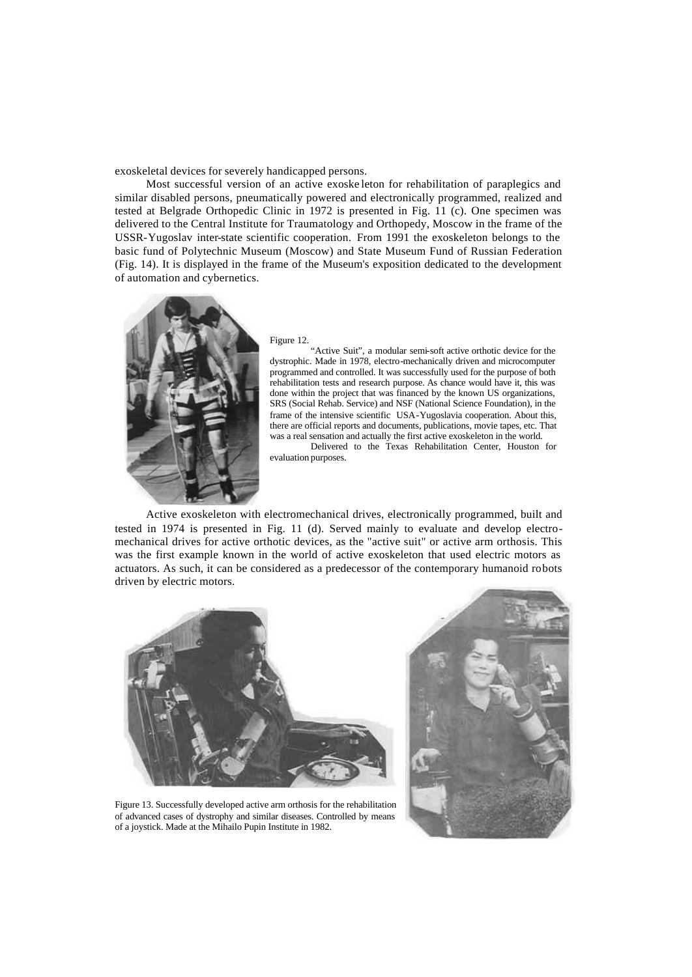exoskeletal devices for severely handicapped persons.

Most successful version of an active exoske leton for rehabilitation of paraplegics and similar disabled persons, pneumatically powered and electronically programmed, realized and tested at Belgrade Orthopedic Clinic in 1972 is presented in Fig. 11 (c). One specimen was delivered to the Central Institute for Traumatology and Orthopedy, Moscow in the frame of the USSR-Yugoslav inter-state scientific cooperation. From 1991 the exoskeleton belongs to the basic fund of Polytechnic Museum (Moscow) and State Museum Fund of Russian Federation (Fig. 14). It is displayed in the frame of the Museum's exposition dedicated to the development of automation and cybernetics.



Figure 12.

"Active Suit", a modular semi-soft active orthotic device for the dystrophic. Made in 1978, electro-mechanically driven and microcomputer programmed and controlled. It was successfully used for the purpose of both rehabilitation tests and research purpose. As chance would have it, this was done within the project that was financed by the known US organizations, SRS (Social Rehab. Service) and NSF (National Science Foundation), in the frame of the intensive scientific USA-Yugoslavia cooperation. About this, there are official reports and documents, publications, movie tapes, etc. That was a real sensation and actually the first active exoskeleton in the world.

Delivered to the Texas Rehabilitation Center, Houston for evaluation purposes.

Active exoskeleton with electromechanical drives, electronically programmed, built and tested in 1974 is presented in Fig. 11 (d). Served mainly to evaluate and develop electromechanical drives for active orthotic devices, as the "active suit" or active arm orthosis. This was the first example known in the world of active exoskeleton that used electric motors as actuators. As such, it can be considered as a predecessor of the contemporary humanoid robots driven by electric motors.



Figure 13. Successfully developed active arm orthosis for the rehabilitation of advanced cases of dystrophy and similar diseases. Controlled by means of a joystick. Made at the Mihailo Pupin Institute in 1982.

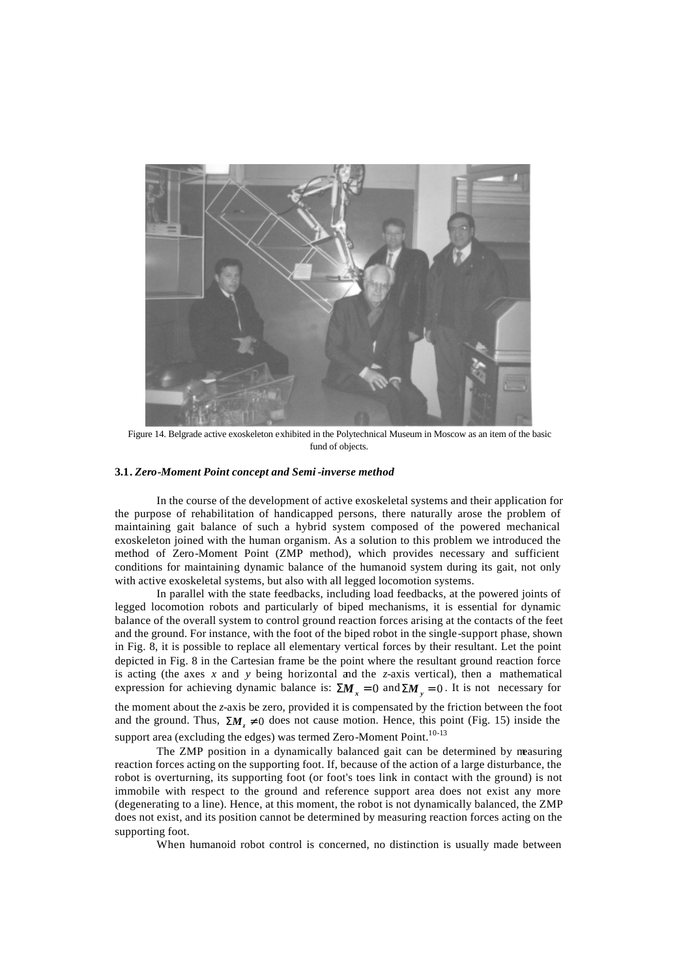

Figure 14. Belgrade active exoskeleton exhibited in the Polytechnical Museum in Moscow as an item of the basic fund of objects.

#### **3.1.** *Zero-Moment Point concept and Semi -inverse method*

In the course of the development of active exoskeletal systems and their application for the purpose of rehabilitation of handicapped persons, there naturally arose the problem of maintaining gait balance of such a hybrid system composed of the powered mechanical exoskeleton joined with the human organism. As a solution to this problem we introduced the method of Zero-Moment Point (ZMP method), which provides necessary and sufficient conditions for maintaining dynamic balance of the humanoid system during its gait, not only with active exoskeletal systems, but also with all legged locomotion systems.

In parallel with the state feedbacks, including load feedbacks, at the powered joints of legged locomotion robots and particularly of biped mechanisms, it is essential for dynamic balance of the overall system to control ground reaction forces arising at the contacts of the feet and the ground. For instance, with the foot of the biped robot in the single-support phase, shown in Fig. 8, it is possible to replace all elementary vertical forces by their resultant. Let the point depicted in Fig. 8 in the Cartesian frame be the point where the resultant ground reaction force is acting (the axes *x* and *y* being horizontal and the *z-*axis vertical), then a mathematical expression for achieving dynamic balance is:  $\sum M_x = 0$  and  $\sum M_y = 0$ . It is not necessary for the moment about the *z-*axis be zero, provided it is compensated by the friction between the foot and the ground. Thus,  $\Sigma M$ <sub>z</sub>  $\neq$  0 does not cause motion. Hence, this point (Fig. 15) inside the support area (excluding the edges) was termed Zero-Moment Point.<sup>10-13</sup>

The ZMP position in a dynamically balanced gait can be determined by measuring reaction forces acting on the supporting foot. If, because of the action of a large disturbance, the robot is overturning, its supporting foot (or foot's toes link in contact with the ground) is not immobile with respect to the ground and reference support area does not exist any more (degenerating to a line). Hence, at this moment, the robot is not dynamically balanced, the ZMP does not exist, and its position cannot be determined by measuring reaction forces acting on the supporting foot.

When humanoid robot control is concerned, no distinction is usually made between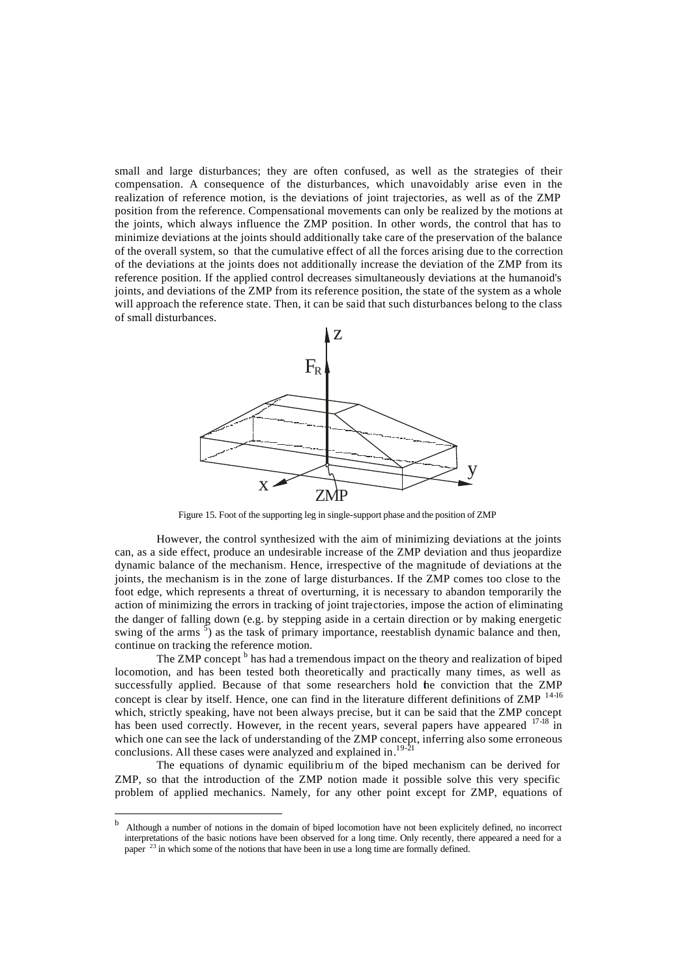small and large disturbances; they are often confused, as well as the strategies of their compensation. A consequence of the disturbances, which unavoidably arise even in the realization of reference motion, is the deviations of joint trajectories, as well as of the ZMP position from the reference. Compensational movements can only be realized by the motions at the joints, which always influence the ZMP position. In other words, the control that has to minimize deviations at the joints should additionally take care of the preservation of the balance of the overall system, so that the cumulative effect of all the forces arising due to the correction of the deviations at the joints does not additionally increase the deviation of the ZMP from its reference position. If the applied control decreases simultaneously deviations at the humanoid's joints, and deviations of the ZMP from its reference position, the state of the system as a whole will approach the reference state. Then, it can be said that such disturbances belong to the class of small disturbances.



Figure 15. Foot of the supporting leg in single-support phase and the position of ZMP

However, the control synthesized with the aim of minimizing deviations at the joints can, as a side effect, produce an undesirable increase of the ZMP deviation and thus jeopardize dynamic balance of the mechanism. Hence, irrespective of the magnitude of deviations at the joints, the mechanism is in the zone of large disturbances. If the ZMP comes too close to the foot edge, which represents a threat of overturning, it is necessary to abandon temporarily the action of minimizing the errors in tracking of joint trajectories, impose the action of eliminating the danger of falling down (e.g. by stepping aside in a certain direction or by making energetic swing of the arms  $\frac{5}{2}$  as the task of primary importance, reestablish dynamic balance and then, continue on tracking the reference motion.

The ZMP concept <sup>b</sup> has had a tremendous impact on the theory and realization of biped locomotion, and has been tested both theoretically and practically many times, as well as successfully applied. Because of that some researchers hold the conviction that the ZMP concept is clear by itself. Hence, one can find in the literature different definitions of ZMP <sup>14-16</sup> which, strictly speaking, have not been always precise, but it can be said that the ZMP concept has been used correctly. However, in the recent years, several papers have appeared <sup>17-18</sup> in which one can see the lack of understanding of the ZMP concept, inferring also some erroneous conclusions. All these cases were analyzed and explained in.<sup>19-21</sup>

The equations of dynamic equilibriu m of the biped mechanism can be derived for ZMP, so that the introduction of the ZMP notion made it possible solve this very specific problem of applied mechanics. Namely, for any other point except for ZMP, equations of

l

b Although a number of notions in the domain of biped locomotion have not been explicitely defined, no incorrect interpretations of the basic notions have been observed for a long time. Only recently, there appeared a need for a paper <sup>23</sup> in which some of the notions that have been in use a long time are formally defined.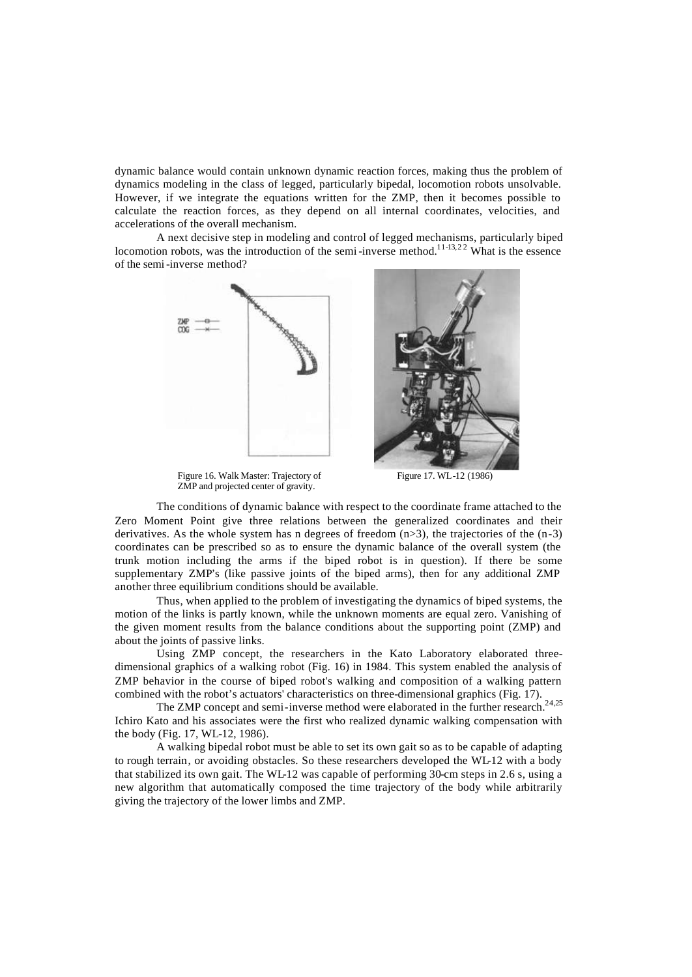dynamic balance would contain unknown dynamic reaction forces, making thus the problem of dynamics modeling in the class of legged, particularly bipedal, locomotion robots unsolvable. However, if we integrate the equations written for the ZMP, then it becomes possible to calculate the reaction forces, as they depend on all internal coordinates, velocities, and accelerations of the overall mechanism.

A next decisive step in modeling and control of legged mechanisms, particularly biped locomotion robots, was the introduction of the semi-inverse method.<sup>11-13,22</sup> What is the essence of the semi-inverse method?



Figure 16. Walk Master: Trajectory of Figure 17. WL-12 (1986) ZMP and projected center of gravity.

The conditions of dynamic balance with respect to the coordinate frame attached to the Zero Moment Point give three relations between the generalized coordinates and their derivatives. As the whole system has n degrees of freedom  $(n>3)$ , the trajectories of the  $(n-3)$ coordinates can be prescribed so as to ensure the dynamic balance of the overall system (the trunk motion including the arms if the biped robot is in question). If there be some supplementary ZMP's (like passive joints of the biped arms), then for any additional ZMP another three equilibrium conditions should be available.

Thus, when applied to the problem of investigating the dynamics of biped systems, the motion of the links is partly known, while the unknown moments are equal zero. Vanishing of the given moment results from the balance conditions about the supporting point (ZMP) and about the joints of passive links.

Using ZMP concept, the researchers in the Kato Laboratory elaborated threedimensional graphics of a walking robot (Fig. 16) in 1984. This system enabled the analysis of ZMP behavior in the course of biped robot's walking and composition of a walking pattern combined with the robot's actuators' characteristics on three-dimensional graphics (Fig. 17).

The ZMP concept and semi-inverse method were elaborated in the further research.<sup>24,25</sup> Ichiro Kato and his associates were the first who realized dynamic walking compensation with the body (Fig. 17, WL-12, 1986).

A walking bipedal robot must be able to set its own gait so as to be capable of adapting to rough terrain, or avoiding obstacles. So these researchers developed the WL-12 with a body that stabilized its own gait. The WL-12 was capable of performing 30-cm steps in 2.6 s, using a new algorithm that automatically composed the time trajectory of the body while arbitrarily giving the trajectory of the lower limbs and ZMP.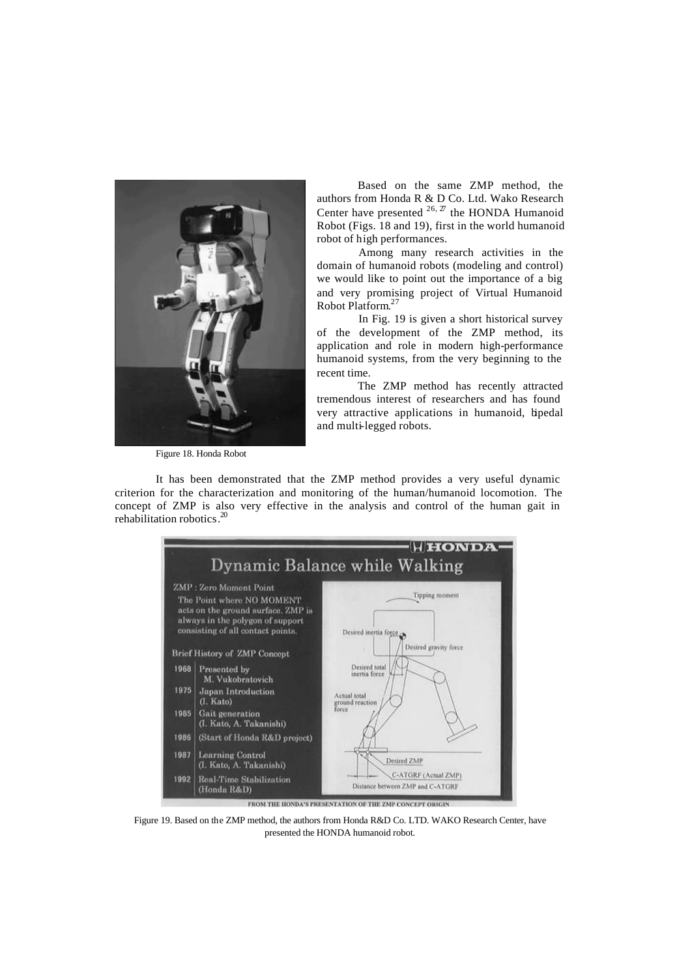

Figure 18. Honda Robot

Based on the same ZMP method, the authors from Honda R & D Co. Ltd. Wako Research Center have presented  $^{26, 27}$  the HONDA Humanoid Robot (Figs. 18 and 19), first in the world humanoid robot of high performances.

Among many research activities in the domain of humanoid robots (modeling and control) we would like to point out the importance of a big and very promising project of Virtual Humanoid Robot Platform. 27

In Fig. 19 is given a short historical survey of the development of the ZMP method, its application and role in modern high-performance humanoid systems, from the very beginning to the recent time.

The ZMP method has recently attracted tremendous interest of researchers and has found very attractive applications in humanoid, bipedal and multi-legged robots.

It has been demonstrated that the ZMP method provides a very useful dynamic criterion for the characterization and monitoring of the human/humanoid locomotion. The concept of ZMP is also very effective in the analysis and control of the human gait in rehabilitation robotics. 20



Figure 19. Based on the ZMP method, the authors from Honda R&D Co. LTD. WAKO Research Center, have presented the HONDA humanoid robot.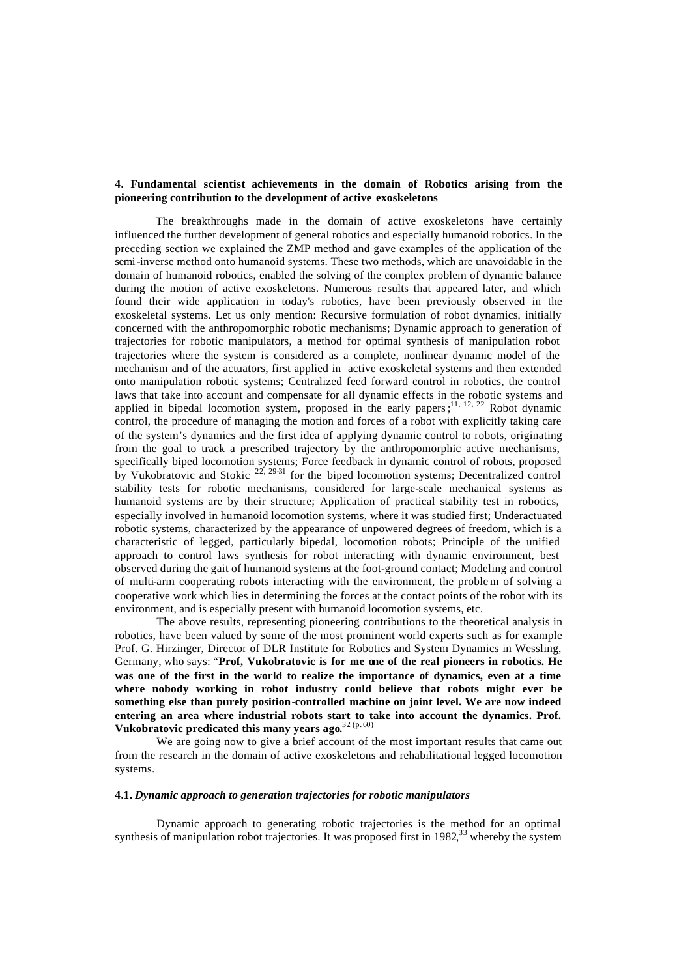# **4. Fundamental scientist achievements in the domain of Robotics arising from the pioneering contribution to the development of active exoskeletons**

The breakthroughs made in the domain of active exoskeletons have certainly influenced the further development of general robotics and especially humanoid robotics. In the preceding section we explained the ZMP method and gave examples of the application of the semi-inverse method onto humanoid systems. These two methods, which are unavoidable in the domain of humanoid robotics, enabled the solving of the complex problem of dynamic balance during the motion of active exoskeletons. Numerous results that appeared later, and which found their wide application in today's robotics, have been previously observed in the exoskeletal systems. Let us only mention: Recursive formulation of robot dynamics, initially concerned with the anthropomorphic robotic mechanisms; Dynamic approach to generation of trajectories for robotic manipulators, a method for optimal synthesis of manipulation robot trajectories where the system is considered as a complete, nonlinear dynamic model of the mechanism and of the actuators, first applied in active exoskeletal systems and then extended onto manipulation robotic systems; Centralized feed forward control in robotics, the control laws that take into account and compensate for all dynamic effects in the robotic systems and applied in bipedal locomotion system, proposed in the early papers;<sup>11, 12, 22</sup> Robot dynamic control, the procedure of managing the motion and forces of a robot with explicitly taking care of the system's dynamics and the first idea of applying dynamic control to robots, originating from the goal to track a prescribed trajectory by the anthropomorphic active mechanisms, specifically biped locomotion systems; Force feedback in dynamic control of robots, proposed by Vukobratovic and Stokic  $22, 29-31$  for the biped locomotion systems; Decentralized control stability tests for robotic mechanisms, considered for large-scale mechanical systems as humanoid systems are by their structure; Application of practical stability test in robotics, especially involved in humanoid locomotion systems, where it was studied first; Underactuated robotic systems, characterized by the appearance of unpowered degrees of freedom, which is a characteristic of legged, particularly bipedal, locomotion robots; Principle of the unified approach to control laws synthesis for robot interacting with dynamic environment, best observed during the gait of humanoid systems at the foot-ground contact; Modeling and control of multi-arm cooperating robots interacting with the environment, the proble m of solving a cooperative work which lies in determining the forces at the contact points of the robot with its environment, and is especially present with humanoid locomotion systems, etc.

The above results, representing pioneering contributions to the theoretical analysis in robotics, have been valued by some of the most prominent world experts such as for example Prof. G. Hirzinger, Director of DLR Institute for Robotics and System Dynamics in Wessling, Germany, who says: "**Prof, Vukobratovic is for me one of the real pioneers in robotics. He was one of the first in the world to realize the importance of dynamics, even at a time where nobody working in robot industry could believe that robots might ever be something else than purely position-controlled machine on joint level. We are now indeed entering an area where industrial robots start to take into account the dynamics. Prof. Vukobratovic predicated this many years ago.** 32 (p. 60)

We are going now to give a brief account of the most important results that came out from the research in the domain of active exoskeletons and rehabilitational legged locomotion systems.

# **4.1.** *Dynamic approach to generation trajectories for robotic manipulators*

Dynamic approach to generating robotic trajectories is the method for an optimal synthesis of manipulation robot trajectories. It was proposed first in 1982,  $33$  whereby the system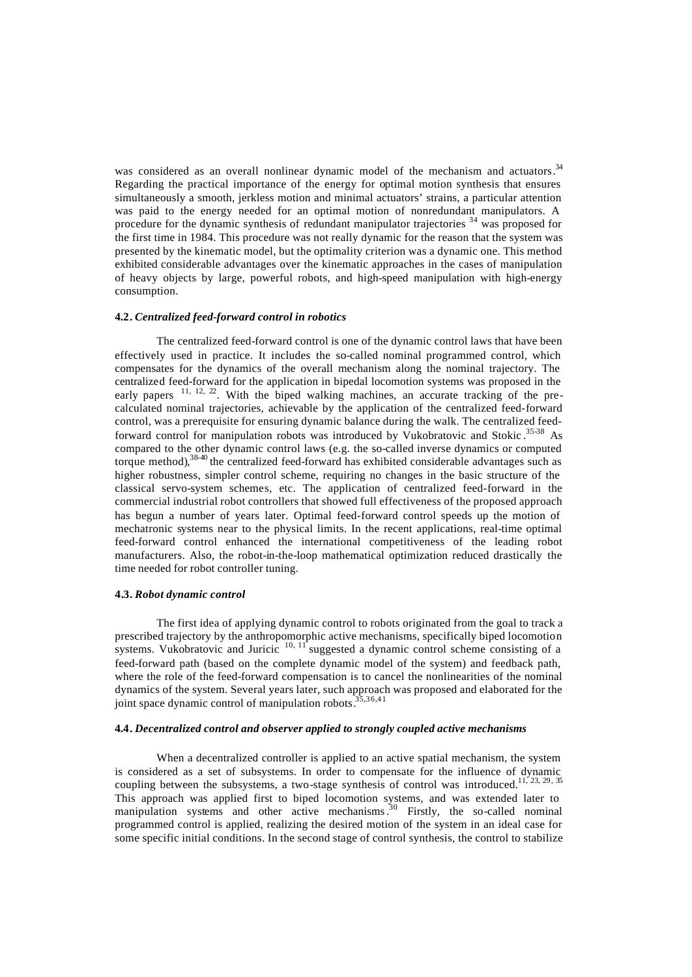was considered as an overall nonlinear dynamic model of the mechanism and actuators.<sup>34</sup> Regarding the practical importance of the energy for optimal motion synthesis that ensures simultaneously a smooth, jerkless motion and minimal actuators' strains, a particular attention was paid to the energy needed for an optimal motion of nonredundant manipulators. A procedure for the dynamic synthesis of redundant manipulator trajectories <sup>34</sup> was proposed for the first time in 1984. This procedure was not really dynamic for the reason that the system was presented by the kinematic model, but the optimality criterion was a dynamic one. This method exhibited considerable advantages over the kinematic approaches in the cases of manipulation of heavy objects by large, powerful robots, and high-speed manipulation with high-energy consumption.

### **4.2.** *Centralized feed-forward control in robotics*

The centralized feed-forward control is one of the dynamic control laws that have been effectively used in practice. It includes the so-called nominal programmed control, which compensates for the dynamics of the overall mechanism along the nominal trajectory. The centralized feed-forward for the application in bipedal locomotion systems was proposed in the early papers  $11, 12, 22$ . With the biped walking machines, an accurate tracking of the precalculated nominal trajectories, achievable by the application of the centralized feed-forward control, was a prerequisite for ensuring dynamic balance during the walk. The centralized feedforward control for manipulation robots was introduced by Vukobratovic and Stokic.<sup>35-38</sup> As compared to the other dynamic control laws (e.g. the so-called inverse dynamics or computed torque method),<sup>38-40</sup> the centralized feed-forward has exhibited considerable advantages such as higher robustness, simpler control scheme, requiring no changes in the basic structure of the classical servo-system schemes, etc. The application of centralized feed-forward in the commercial industrial robot controllers that showed full effectiveness of the proposed approach has begun a number of years later. Optimal feed-forward control speeds up the motion of mechatronic systems near to the physical limits. In the recent applications, real-time optimal feed-forward control enhanced the international competitiveness of the leading robot manufacturers. Also, the robot-in-the-loop mathematical optimization reduced drastically the time needed for robot controller tuning.

#### **4.3.** *Robot dynamic control*

The first idea of applying dynamic control to robots originated from the goal to track a prescribed trajectory by the anthropomorphic active mechanisms, specifically biped locomotion systems. Vukobratovic and Juricic  $10, 11$  suggested a dynamic control scheme consisting of a feed-forward path (based on the complete dynamic model of the system) and feedback path, where the role of the feed-forward compensation is to cancel the nonlinearities of the nominal dynamics of the system. Several years later, such approach was proposed and elaborated for the joint space dynamic control of manipulation robots.  $35,36,41$ 

# **4.4.** *Decentralized control and observer applied to strongly coupled active mechanisms*

When a decentralized controller is applied to an active spatial mechanism, the system is considered as a set of subsystems. In order to compensate for the influence of dynamic coupling between the subsystems, a two-stage synthesis of control was introduced.<sup>11, 23, 29, 35</sup> This approach was applied first to biped locomotion systems, and was extended later to manipulation systems and other active mechanisms.<sup>30</sup> Firstly, the so-called nominal programmed control is applied, realizing the desired motion of the system in an ideal case for some specific initial conditions. In the second stage of control synthesis, the control to stabilize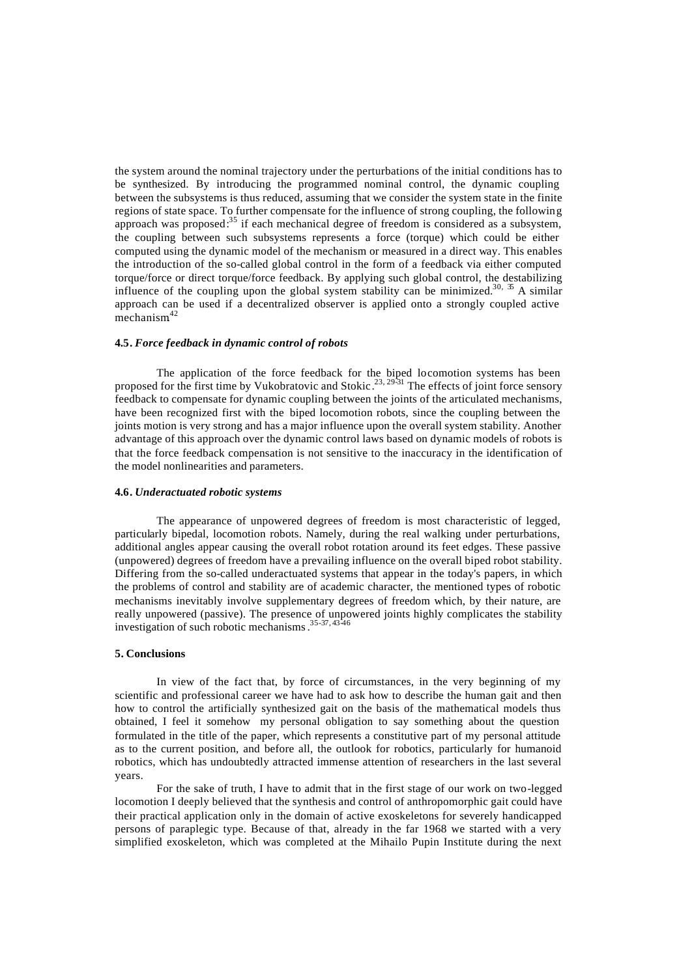the system around the nominal trajectory under the perturbations of the initial conditions has to be synthesized. By introducing the programmed nominal control, the dynamic coupling between the subsystems is thus reduced, assuming that we consider the system state in the finite regions of state space. To further compensate for the influence of strong coupling, the following approach was proposed:<sup>35</sup> if each mechanical degree of freedom is considered as a subsystem, the coupling between such subsystems represents a force (torque) which could be either computed using the dynamic model of the mechanism or measured in a direct way. This enables the introduction of the so-called global control in the form of a feedback via either computed torque/force or direct torque/force feedback. By applying such global control, the destabilizing influence of the coupling upon the global system stability can be minimized.<sup>30,  $\delta$ </sup> A similar approach can be used if a decentralized observer is applied onto a strongly coupled active  $mechanism<sup>42</sup>$ 

### **4.5.** *Force feedback in dynamic control of robots*

The application of the force feedback for the biped locomotion systems has been proposed for the first time by Vukobratovic and Stokic.<sup>23, 29-31</sup> The effects of joint force sensory feedback to compensate for dynamic coupling between the joints of the articulated mechanisms, have been recognized first with the biped locomotion robots, since the coupling between the joints motion is very strong and has a major influence upon the overall system stability. Another advantage of this approach over the dynamic control laws based on dynamic models of robots is that the force feedback compensation is not sensitive to the inaccuracy in the identification of the model nonlinearities and parameters.

### **4.6.** *Underactuated robotic systems*

The appearance of unpowered degrees of freedom is most characteristic of legged, particularly bipedal, locomotion robots. Namely, during the real walking under perturbations, additional angles appear causing the overall robot rotation around its feet edges. These passive (unpowered) degrees of freedom have a prevailing influence on the overall biped robot stability. Differing from the so-called underactuated systems that appear in the today's papers, in which the problems of control and stability are of academic character, the mentioned types of robotic mechanisms inevitably involve supplementary degrees of freedom which, by their nature, are really unpowered (passive). The presence of unpowered joints highly complicates the stability investigation of such robotic mechanisms. 35-37, 43-46

#### **5. Conclusions**

In view of the fact that, by force of circumstances, in the very beginning of my scientific and professional career we have had to ask how to describe the human gait and then how to control the artificially synthesized gait on the basis of the mathematical models thus obtained, I feel it somehow my personal obligation to say something about the question formulated in the title of the paper, which represents a constitutive part of my personal attitude as to the current position, and before all, the outlook for robotics, particularly for humanoid robotics, which has undoubtedly attracted immense attention of researchers in the last several years.

For the sake of truth, I have to admit that in the first stage of our work on two-legged locomotion I deeply believed that the synthesis and control of anthropomorphic gait could have their practical application only in the domain of active exoskeletons for severely handicapped persons of paraplegic type. Because of that, already in the far 1968 we started with a very simplified exoskeleton, which was completed at the Mihailo Pupin Institute during the next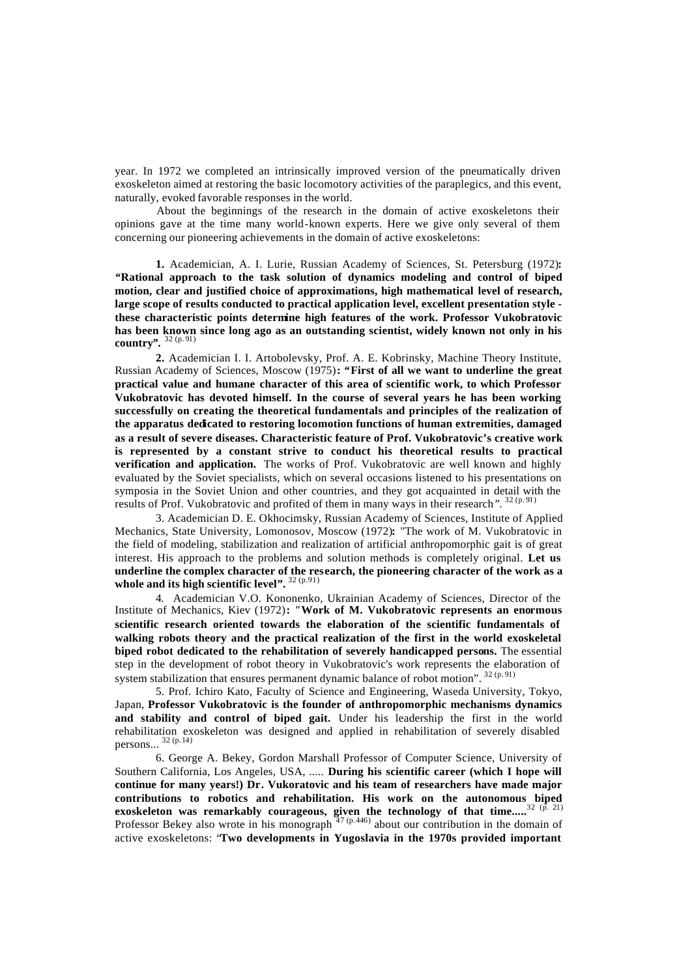year. In 1972 we completed an intrinsically improved version of the pneumatically driven exoskeleton aimed at restoring the basic locomotory activities of the paraplegics, and this event, naturally, evoked favorable responses in the world.

About the beginnings of the research in the domain of active exoskeletons their opinions gave at the time many world-known experts. Here we give only several of them concerning our pioneering achievements in the domain of active exoskeletons:

**1.** Academician, A. I. Lurie, Russian Academy of Sciences, St. Petersburg (1972)**:**  *"***Rational approach to the task solution of dynamics modeling and control of biped motion, clear and justified choice of approximations, high mathematical level of research, large scope of results conducted to practical application level, excellent presentation style these characteristic points determine high features of the work. Professor Vukobratovic has been known since long ago as an outstanding scientist, widely known not only in his country***".* 32 (p. 91)

**2.** Academician I. I. Artobolevsky, Prof. A. E. Kobrinsky, Machine Theory Institute, Russian Academy of Sciences, Moscow (1975)**:** *"***First of all we want to underline the great practical value and humane character of this area of scientific work, to which Professor Vukobratovic has devoted himself. In the course of several years he has been working successfully on creating the theoretical fundamentals and principles of the realization of the apparatus dedicated to restoring locomotion functions of human extremities, damaged as a result of severe diseases. Characteristic feature of Prof. Vukobratovic's creative work is represented by a constant strive to conduct his theoretical results to practical verification and application.** The works of Prof. Vukobratovic are well known and highly evaluated by the Soviet specialists, which on several occasions listened to his presentations on symposia in the Soviet Union and other countries, and they got acquainted in detail with the results of Prof. Vukobratovic and profited of them in many ways in their research<sup>". 32 (p.91)</sup>

3. Academician D. E. Okhocimsky, Russian Academy of Sciences, Institute of Applied Mechanics, State University, Lomonosov, Moscow (1972)**:** *"*The work of M. Vukobratovic in the field of modeling, stabilization and realization of artificial anthropomorphic gait is of great interest. His approach to the problems and solution methods is completely original. **Let us underline the complex character of the research, the pioneering character of the work as a**  whole and its high scientific level". <sup>32 (p.91)</sup>

4.Academician V.O. Kononenko, Ukrainian Academy of Sciences, Director of the Institute of Mechanics, Kiev (1972)**:** *"***Work of M. Vukobratovic represents an enormous scientific research oriented towards the elaboration of the scientific fundamentals of walking robots theory and the practical realization of the first in the world exoskeletal biped robot dedicated to the rehabilitation of severely handicapped persons.** The essential step in the development of robot theory in Vukobratovic's work represents the elaboration of system stabilization that ensures permanent dynamic balance of robot motion".  $32 (p.91)$ 

5. Prof. Ichiro Kato, Faculty of Science and Engineering, Waseda University, Tokyo, Japan, **Professor Vukobratovic is the founder of anthropomorphic mechanisms dynamics and stability and control of biped gait.** Under his leadership the first in the world rehabilitation exoskeleton was designed and applied in rehabilitation of severely disabled persons... 32 (p. 14)

6. George A. Bekey, Gordon Marshall Professor of Computer Science, University of Southern California, Los Angeles, USA, ..... **During his scientific career (which I hope will continue for many years!) Dr. Vukoratovic and his team of researchers have made major contributions to robotics and rehabilitation. His work on the autonomous biped** exoskeleton was remarkably courageous, given the technology of that time.....<sup>32 (p. 21)</sup> Professor Bekey also wrote in his monograph  $47$  (p.446) about our contribution in the domain of active exoskeletons: "**Two developments in Yugoslavia in the 1970s provided important**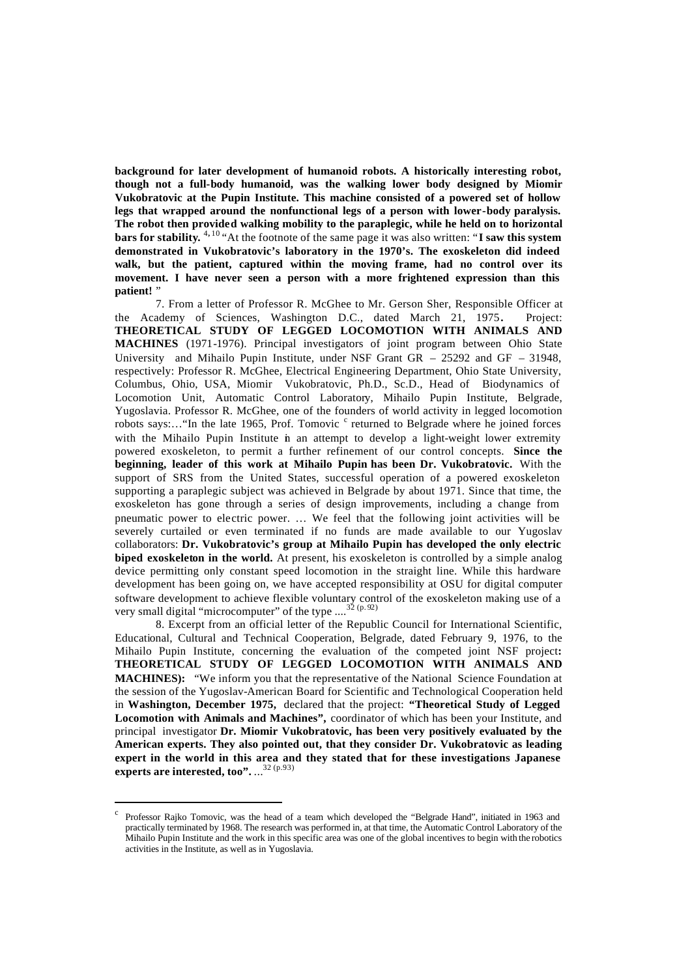**background for later development of humanoid robots. A historically interesting robot, though not a full-body humanoid, was the walking lower body designed by Miomir Vukobratovic at the Pupin Institute. This machine consisted of a powered set of hollow legs that wrapped around the nonfunctional legs of a person with lower-body paralysis. The robot then provided walking mobility to the paraplegic, while he held on to horizontal bars for stability.** <sup>4</sup>**,** <sup>10</sup> "At the footnote of the same page it was also written: "**I saw this system demonstrated in Vukobratovic's laboratory in the 1970's. The exoskeleton did indeed walk, but the patient, captured within the moving frame, had no control over its movement. I have never seen a person with a more frightened expression than this patient!** "

7. From a letter of Professor R. McGhee to Mr. Gerson Sher, Responsible Officer at the Academy of Sciences, Washington D.C., dated March 21, 1975**.** Project: **THEORETICAL STUDY OF LEGGED LOCOMOTION WITH ANIMALS AND MACHINES** (1971-1976). Principal investigators of joint program between Ohio State University and Mihailo Pupin Institute, under NSF Grant GR – 25292 and GF – 31948, respectively: Professor R. McGhee, Electrical Engineering Department, Ohio State University, Columbus, Ohio, USA, Miomir Vukobratovic, Ph.D., Sc.D., Head of Biodynamics of Locomotion Unit, Automatic Control Laboratory, Mihailo Pupin Institute, Belgrade, Yugoslavia. Professor R. McGhee, one of the founders of world activity in legged locomotion robots says:..."In the late 1965, Prof. Tomovic  $\degree$  returned to Belgrade where he joined forces with the Mihailo Pupin Institute in an attempt to develop a light-weight lower extremity powered exoskeleton, to permit a further refinement of our control concepts. **Since the beginning, leader of this work at Mihailo Pupin has been Dr. Vukobratovic.** With the support of SRS from the United States, successful operation of a powered exoskeleton supporting a paraplegic subject was achieved in Belgrade by about 1971. Since that time, the exoskeleton has gone through a series of design improvements, including a change from pneumatic power to electric power. … We feel that the following joint activities will be severely curtailed or even terminated if no funds are made available to our Yugoslav collaborators: **Dr. Vukobratovic's group at Mihailo Pupin has developed the only electric biped exoskeleton in the world.** At present, his exoskeleton is controlled by a simple analog device permitting only constant speed locomotion in the straight line. While this hardware development has been going on, we have accepted responsibility at OSU for digital computer software development to achieve flexible voluntary control of the exoskeleton making use of a very small digital "microcomputer" of the type  $\ldots$ <sup>32 (p.92)</sup>

8. Excerpt from an official letter of the Republic Council for International Scientific, Educational, Cultural and Technical Cooperation, Belgrade, dated February 9, 1976, to the Mihailo Pupin Institute, concerning the evaluation of the competed joint NSF project**: THEORETICAL STUDY OF LEGGED LOCOMOTION WITH ANIMALS AND MACHINES):** *"*We inform you that the representative of the National Science Foundation at the session of the Yugoslav-American Board for Scientific and Technological Cooperation held in **Washington, December 1975,** declared that the project: **"Theoretical Study of Legged Locomotion with Animals and Machines",** coordinator of which has been your Institute, and principal investigator **Dr. Miomir Vukobratovic, has been very positively evaluated by the American experts. They also pointed out, that they consider Dr. Vukobratovic as leading expert in the world in this area and they stated that for these investigations Japanese**  experts are interested, too". ...<sup>32 (p.93)</sup>

l

c Professor Rajko Tomovic, was the head of a team which developed the "Belgrade Hand", initiated in 1963 and practically terminated by 1968. The research was performed in, at that time, the Automatic Control Laboratory of the Mihailo Pupin Institute and the work in this specific area was one of the global incentives to begin with the robotics activities in the Institute, as well as in Yugoslavia.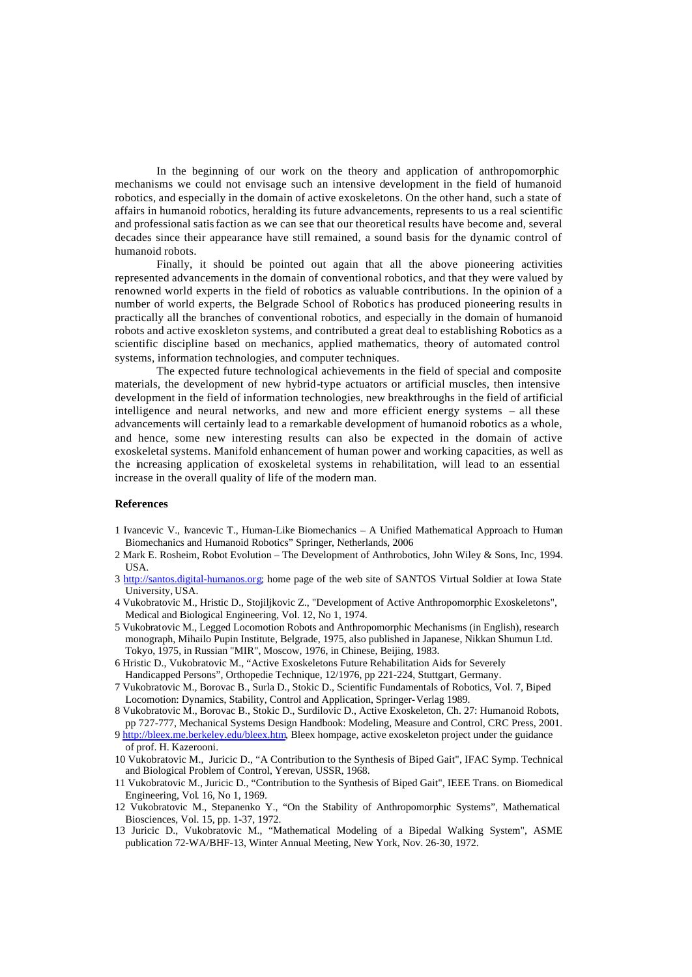In the beginning of our work on the theory and application of anthropomorphic mechanisms we could not envisage such an intensive development in the field of humanoid robotics, and especially in the domain of active exoskeletons. On the other hand, such a state of affairs in humanoid robotics, heralding its future advancements, represents to us a real scientific and professional satisfaction as we can see that our theoretical results have become and, several decades since their appearance have still remained, a sound basis for the dynamic control of humanoid robots.

Finally, it should be pointed out again that all the above pioneering activities represented advancements in the domain of conventional robotics, and that they were valued by renowned world experts in the field of robotics as valuable contributions. In the opinion of a number of world experts, the Belgrade School of Robotics has produced pioneering results in practically all the branches of conventional robotics, and especially in the domain of humanoid robots and active exoskleton systems, and contributed a great deal to establishing Robotics as a scientific discipline based on mechanics, applied mathematics, theory of automated control systems, information technologies, and computer techniques.

The expected future technological achievements in the field of special and composite materials, the development of new hybrid-type actuators or artificial muscles, then intensive development in the field of information technologies, new breakthroughs in the field of artificial intelligence and neural networks, and new and more efficient energy systems – all these advancements will certainly lead to a remarkable development of humanoid robotics as a whole, and hence, some new interesting results can also be expected in the domain of active exoskeletal systems. Manifold enhancement of human power and working capacities, as well as the increasing application of exoskeletal systems in rehabilitation, will lead to an essential increase in the overall quality of life of the modern man.

#### **References**

- 1 Ivancevic V., Ivancevic T., Human-Like Biomechanics A Unified Mathematical Approach to Human Biomechanics and Humanoid Robotics" Springer, Netherlands, 2006
- 2 Mark E. Rosheim, Robot Evolution The Development of Anthrobotics, John Wiley & Sons, Inc, 1994. USA.
- 3 http://santos.digital-humanos.org; home page of the web site of SANTOS Virtual Soldier at Iowa State University, USA.
- 4 Vukobratovic M., Hristic D., Stojiljkovic Z., "Development of Active Anthropomorphic Exoskeletons", Medical and Biological Engineering, Vol. 12, No 1, 1974.
- 5 Vukobratovic M., Legged Locomotion Robots and Anthropomorphic Mechanisms (in English), research monograph, Mihailo Pupin Institute, Belgrade, 1975, also published in Japanese, Nikkan Shumun Ltd. Tokyo, 1975, in Russian "MIR", Moscow, 1976, in Chinese, Beijing, 1983.
- 6 Hristic D., Vukobratovic M., "Active Exoskeletons Future Rehabilitation Aids for Severely Handicapped Persons", Orthopedie Technique, 12/1976, pp 221-224, Stuttgart, Germany.
- 7 Vukobratovic M., Borovac B., Surla D., Stokic D., Scientific Fundamentals of Robotics, Vol. 7, Biped Locomotion: Dynamics, Stability, Control and Application, Springer-Verlag 1989.

8 Vukobratovic M., Borovac B., Stokic D., Surdilovic D., Active Exoskeleton, Ch. 27: Humanoid Robots, pp 727-777, Mechanical Systems Design Handbook: Modeling, Measure and Control, CRC Press, 2001.

- 9 http://bleex.me.berkeley.edu/bleex.htm, Bleex hompage, active exoskeleton project under the guidance of prof. H. Kazerooni.
- 10 Vukobratovic M., Juricic D., "A Contribution to the Synthesis of Biped Gait", IFAC Symp. Technical and Biological Problem of Control, Yerevan, USSR, 1968.
- 11 Vukobratovic M., Juricic D., "Contribution to the Synthesis of Biped Gait", IEEE Trans. on Biomedical Engineering, Vol. 16, No 1, 1969.
- 12 Vukobratovic M., Stepanenko Y., "On the Stability of Anthropomorphic Systems", Mathematical Biosciences, Vol. 15, pp. 1-37, 1972.
- 13 Juricic D., Vukobratovic M., "Mathematical Modeling of a Bipedal Walking System", ASME publication 72-WA/BHF-13, Winter Annual Meeting, New York, Nov. 26-30, 1972.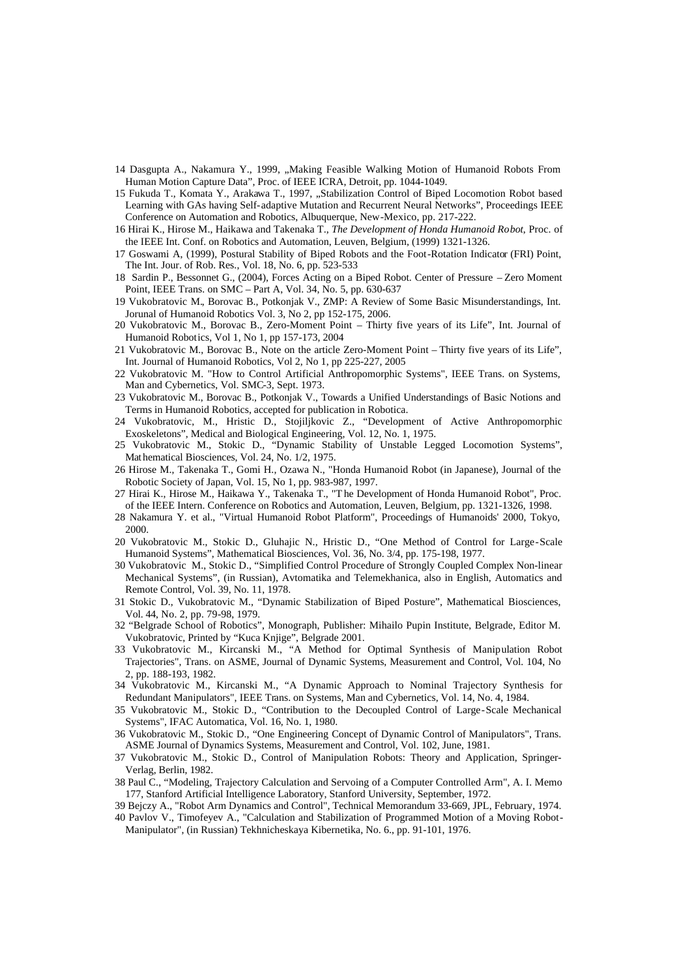- 14 Dasgupta A., Nakamura Y., 1999, "Making Feasible Walking Motion of Humanoid Robots From Human Motion Capture Data", Proc. of IEEE ICRA, Detroit, pp. 1044-1049.
- 15 Fukuda T., Komata Y., Arakawa T., 1997, "Stabilization Control of Biped Locomotion Robot based Learning with GAs having Self-adaptive Mutation and Recurrent Neural Networks", Proceedings IEEE Conference on Automation and Robotics, Albuquerque, New-Mexico, pp. 217-222.
- 16 Hirai K., Hirose M., Haikawa and Takenaka T., *The Development of Honda Humanoid Robot*, Proc. of the IEEE Int. Conf. on Robotics and Automation, Leuven, Belgium, (1999) 1321-1326.
- 17 Goswami A, (1999), Postural Stability of Biped Robots and the Foot-Rotation Indicator (FRI) Point, The Int. Jour. of Rob. Res., Vol. 18, No. 6, pp. 523-533
- 18 Sardin P., Bessonnet G., (2004), Forces Acting on a Biped Robot. Center of Pressure Zero Moment Point, IEEE Trans. on SMC – Part A, Vol. 34, No. 5, pp. 630-637
- 19 Vukobratovic M., Borovac B., Potkonjak V., ZMP: A Review of Some Basic Misunderstandings, Int. Jorunal of Humanoid Robotics Vol. 3, No 2, pp 152-175, 2006.
- 20 Vukobratovic M., Borovac B., Zero-Moment Point Thirty five years of its Life", Int. Journal of Humanoid Robotics, Vol 1, No 1, pp 157-173, 2004
- 21 Vukobratovic M., Borovac B., Note on the article Zero-Moment Point Thirty five years of its Life", Int. Journal of Humanoid Robotics, Vol 2, No 1, pp 225-227, 2005
- 22 Vukobratovic M. "How to Control Artificial Anthropomorphic Systems", IEEE Trans. on Systems, Man and Cybernetics, Vol. SMC-3, Sept. 1973.
- 23 Vukobratovic M., Borovac B., Potkonjak V., Towards a Unified Understandings of Basic Notions and Terms in Humanoid Robotics, accepted for publication in Robotica.
- 24 Vukobratovic, M., Hristic D., Stojiljkovic Z., "Development of Active Anthropomorphic Exoskeletons", Medical and Biological Engineering, Vol. 12, No. 1, 1975.
- 25 Vukobratovic M., Stokic D., "Dynamic Stability of Unstable Legged Locomotion Systems", Mat hematical Biosciences, Vol. 24, No. 1/2, 1975.
- 26 Hirose M., Takenaka T., Gomi H., Ozawa N., "Honda Humanoid Robot (in Japanese), Journal of the Robotic Society of Japan, Vol. 15, No 1, pp. 983-987, 1997.
- 27 Hirai K., Hirose M., Haikawa Y., Takenaka T., "T he Development of Honda Humanoid Robot", Proc. of the IEEE Intern. Conference on Robotics and Automation, Leuven, Belgium, pp. 1321-1326, 1998.
- 28 Nakamura Y. et al., "Virtual Humanoid Robot Platform", Proceedings of Humanoids' 2000, Tokyo, 2000.
- 20 Vukobratovic M., Stokic D., Gluhajic N., Hristic D., "One Method of Control for Large-Scale Humanoid Systems", Mathematical Biosciences, Vol. 36, No. 3/4, pp. 175-198, 1977.
- 30 Vukobratovic M., Stokic D., "Simplified Control Procedure of Strongly Coupled Complex Non-linear Mechanical Systems", (in Russian), Avtomatika and Telemekhanica, also in English, Automatics and Remote Control, Vol. 39, No. 11, 1978.
- 31 Stokic D., Vukobratovic M., "Dynamic Stabilization of Biped Posture", Mathematical Biosciences, Vol. 44, No. 2, pp. 79-98, 1979.
- 32 "Belgrade School of Robotics", Monograph, Publisher: Mihailo Pupin Institute, Belgrade, Editor M. Vukobratovic, Printed by "Kuca Knjige", Belgrade 2001.
- 33 Vukobratovic M., Kircanski M., "A Method for Optimal Synthesis of Manipulation Robot Trajectories", Trans. on ASME, Journal of Dynamic Systems, Measurement and Control, Vol. 104, No 2, pp. 188-193, 1982.
- 34 Vukobratovic M., Kircanski M., "A Dynamic Approach to Nominal Trajectory Synthesis for Redundant Manipulators", IEEE Trans. on Systems, Man and Cybernetics, Vol. 14, No. 4, 1984.
- 35 Vukobratovic M., Stokic D., "Contribution to the Decoupled Control of Large-Scale Mechanical Systems", IFAC Automatica, Vol. 16, No. 1, 1980.
- 36 Vukobratovic M., Stokic D., "One Engineering Concept of Dynamic Control of Manipulators", Trans. ASME Journal of Dynamics Systems, Measurement and Control, Vol. 102, June, 1981.
- 37 Vukobratovic M., Stokic D., Control of Manipulation Robots: Theory and Application, Springer-Verlag, Berlin, 1982.
- 38 Paul C., "Modeling, Trajectory Calculation and Servoing of a Computer Controlled Arm", A. I. Memo 177, Stanford Artificial Intelligence Laboratory, Stanford University, September, 1972.
- 39 Bejczy A., "Robot Arm Dynamics and Control", Technical Memorandum 33-669, JPL, February, 1974. 40 Pavlov V., Timofeyev A., "Calculation and Stabilization of Programmed Motion of a Moving Robot-Manipulator", (in Russian) Tekhnicheskaya Kibernetika, No. 6., pp. 91-101, 1976.